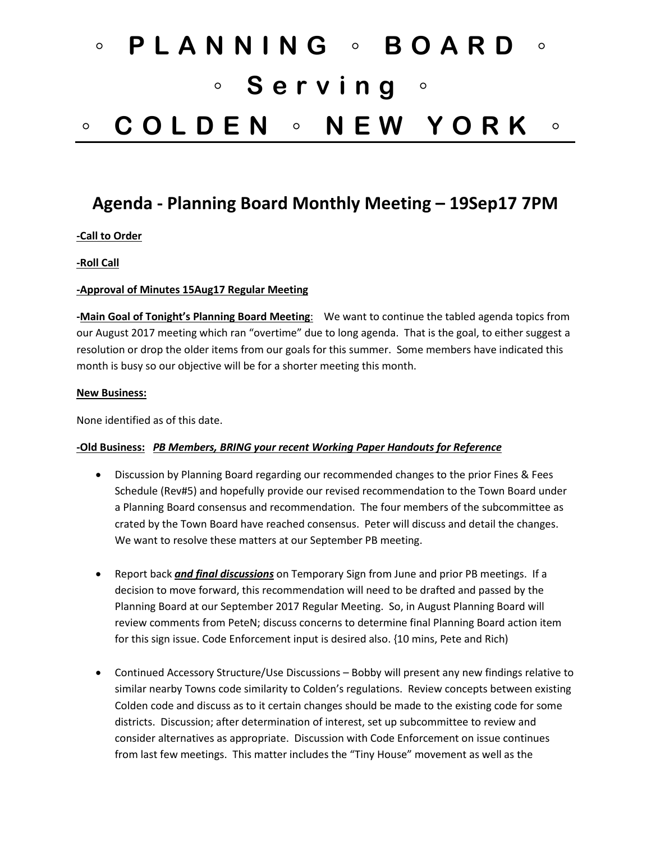# ◦ **PLANNING** ◦ **BOARD** ◦ ◦ **Serving** ◦ ◦ **COLDEN** ◦ **NEW YORK** ◦

# **Agenda - Planning Board Monthly Meeting – 19Sep17 7PM**

### **-Call to Order**

#### **-Roll Call**

#### **-Approval of Minutes 15Aug17 Regular Meeting**

**-Main Goal of Tonight's Planning Board Meeting**: We want to continue the tabled agenda topics from our August 2017 meeting which ran "overtime" due to long agenda. That is the goal, to either suggest a resolution or drop the older items from our goals for this summer. Some members have indicated this month is busy so our objective will be for a shorter meeting this month.

#### **New Business:**

None identified as of this date.

#### **-Old Business:** *PB Members, BRING your recent Working Paper Handouts for Reference*

- Discussion by Planning Board regarding our recommended changes to the prior Fines & Fees Schedule (Rev#5) and hopefully provide our revised recommendation to the Town Board under a Planning Board consensus and recommendation. The four members of the subcommittee as crated by the Town Board have reached consensus. Peter will discuss and detail the changes. We want to resolve these matters at our September PB meeting.
- Report back *and final discussions* on Temporary Sign from June and prior PB meetings. If a decision to move forward, this recommendation will need to be drafted and passed by the Planning Board at our September 2017 Regular Meeting. So, in August Planning Board will review comments from PeteN; discuss concerns to determine final Planning Board action item for this sign issue. Code Enforcement input is desired also. {10 mins, Pete and Rich)
- Continued Accessory Structure/Use Discussions Bobby will present any new findings relative to similar nearby Towns code similarity to Colden's regulations. Review concepts between existing Colden code and discuss as to it certain changes should be made to the existing code for some districts. Discussion; after determination of interest, set up subcommittee to review and consider alternatives as appropriate. Discussion with Code Enforcement on issue continues from last few meetings. This matter includes the "Tiny House" movement as well as the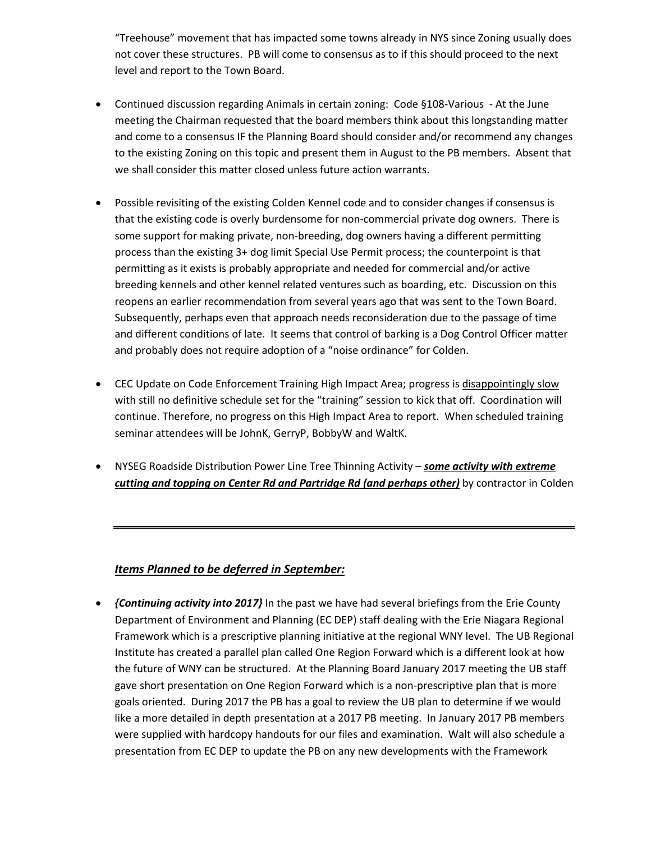"Treehouse" movement that has impacted some towns already in NYS since Zoning usually does not cover these structures. PB will come to consensus as to if this should proceed to the next level and report to the Town Board.

- Continued discussion regarding Animals in certain zoning: Code §108-Various At the June meeting the Chairman requested that the board members think about this longstanding matter and come to a consensus IF the Planning Board should consider and/or recommend any changes to the existing Zoning on this topic and present them in August to the PB members. Absent that we shall consider this matter closed unless future action warrants.
- Possible revisiting of the existing Colden Kennel code and to consider changes if consensus is that the existing code is overly burdensome for non-commercial private dog owners. There is some support for making private, non-breeding, dog owners having a different permitting process than the existing 3+ dog limit Special Use Permit process; the counterpoint is that permitting as it exists is probably appropriate and needed for commercial and/or active breeding kennels and other kennel related ventures such as boarding, etc. Discussion on this reopens an earlier recommendation from several years ago that was sent to the Town Board. Subsequently, perhaps even that approach needs reconsideration due to the passage of time and different conditions of late. It seems that control of barking is a Dog Control Officer matter and probably does not require adoption of a "noise ordinance" for Colden.
- CEC Update on Code Enforcement Training High Impact Area; progress is disappointingly slow with still no definitive schedule set for the "training" session to kick that off. Coordination will continue. Therefore, no progress on this High Impact Area to report. When scheduled training seminar attendees will be JohnK, GerryP, BobbyW and WaltK.
- NYSEG Roadside Distribution Power Line Tree Thinning Activity *some activity with extreme cutting and topping on Center Rd and Partridge Rd (and perhaps other)* by contractor in Colden

# *Items Planned to be deferred in September:*

• *{Continuing activity into 2017}* In the past we have had several briefings from the Erie County Department of Environment and Planning (EC DEP) staff dealing with the Erie Niagara Regional Framework which is a prescriptive planning initiative at the regional WNY level. The UB Regional Institute has created a parallel plan called One Region Forward which is a different look at how the future of WNY can be structured. At the Planning Board January 2017 meeting the UB staff gave short presentation on One Region Forward which is a non-prescriptive plan that is more goals oriented. During 2017 the PB has a goal to review the UB plan to determine if we would like a more detailed in depth presentation at a 2017 PB meeting. In January 2017 PB members were supplied with hardcopy handouts for our files and examination. Walt will also schedule a presentation from EC DEP to update the PB on any new developments with the Framework